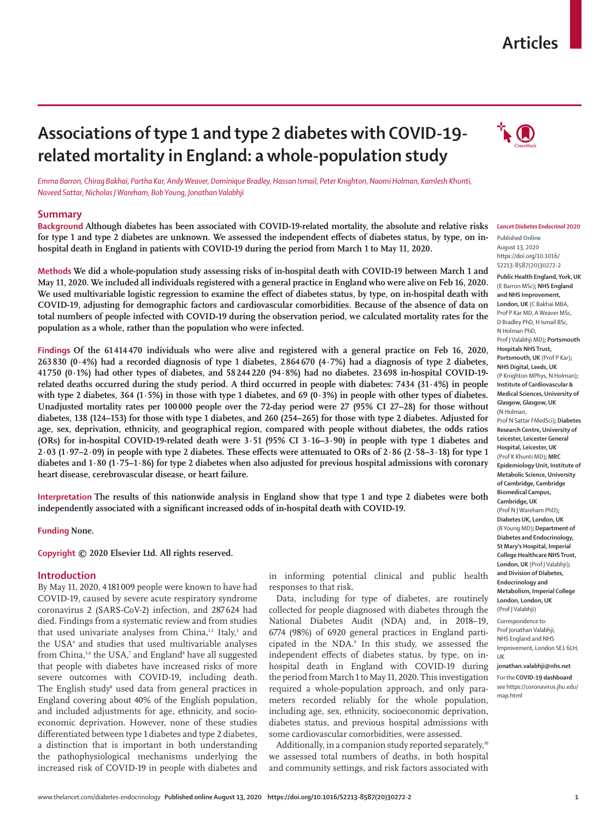# **Articles**

# **Associations of type 1 and type 2 diabetes with COVID-19 related mortality in England: a whole-population study**



*Emma Barron, Chirag Bakhai, Partha Kar, Andy Weaver, Dominique Bradley, Hassan Ismail, Peter Knighton, Naomi Holman, Kamlesh Khunti, Naveed Sattar, Nicholas J Wareham, Bob Young, Jonathan Valabhji*

## **Summary**

**Background Although diabetes has been associated with COVID-19-related mortality, the absolute and relative risks for type 1 and type 2 diabetes are unknown. We assessed the independent effects of diabetes status, by type, on inhospital death in England in patients with COVID-19 during the period from March 1 to May 11, 2020.**

**Methods We did a whole-population study assessing risks of in-hospital death with COVID-19 between March 1 and May 11, 2020. We included all individuals registered with a general practice in England who were alive on Feb 16, 2020. We used multivariable logistic regression to examine the effect of diabetes status, by type, on in-hospital death with COVID-19, adjusting for demographic factors and cardiovascular comorbidities. Because of the absence of data on total numbers of people infected with COVID-19 during the observation period, we calculated mortality rates for the population as a whole, rather than the population who were infected.**

**Findings Of the 61414470 individuals who were alive and registered with a general practice on Feb 16, 2020, 263 830 (0∙4%) had a recorded diagnosis of type 1 diabetes, 2 864 670 (4∙7%) had a diagnosis of type 2 diabetes, 41 750 (0∙1%) had other types of diabetes, and 58 244220 (94·8%) had no diabetes. 23 698 in-hospital COVID-19 related deaths occurred during the study period. A third occurred in people with diabetes: 7434 (31∙4%) in people with type 2 diabetes, 364 (1∙5%) in those with type 1 diabetes, and 69 (0∙3%) in people with other types of diabetes. Unadjusted mortality rates per 100 000 people over the 72-day period were 27 (95% CI 27–28) for those without diabetes, 138 (124–153) for those with type 1 diabetes, and 260 (254–265) for those with type 2 diabetes. Adjusted for age, sex, deprivation, ethnicity, and geographical region, compared with people without diabetes, the odds ratios (ORs) for in-hospital COVID-19-related death were 3∙51 (95% CI 3∙16–3∙90) in people with type 1 diabetes and 2∙03 (1∙97–2∙09) in people with type 2 diabetes. These effects were attenuated to ORs of 2∙86 (2∙58–3∙18) for type 1 diabetes and 1∙80 (1∙75–1∙86) for type 2 diabetes when also adjusted for previous hospital admissions with coronary heart disease, cerebrovascular disease, or heart failure.**

**Interpretation The results of this nationwide analysis in England show that type 1 and type 2 diabetes were both independently associated with a significant increased odds of in-hospital death with COVID-19.**

**Funding None.**

**Copyright © 2020 Elsevier Ltd. All rights reserved.**

## **Introduction**

By May 11, 2020, 4 181 [009 people](https://coronavirus.jhu.edu/map.html) were known to have had COVID-19, caused by severe acute respiratory syndrome coronavirus 2 (SARS-CoV-2) infection, and 287624 had died. Findings from a systematic review and from studies that used univariate analyses from China,<sup>1,2</sup> Italy,<sup>3</sup> and the USA<sup>4</sup> and studies that used multivariable analyses from China,<sup>5,6</sup> the USA,<sup>7</sup> and England<sup>8</sup> have all suggested that people with diabetes have increased risks of more severe outcomes with COVID-19, including death. The English study<sup>s</sup> used data from general practices in England covering about 40% of the English population, and included adjustments for age, ethnicity, and socioeconomic deprivation. However, none of these studies differentiated between type 1 diabetes and type 2 diabetes, a distinction that is important in both understanding the pathophysiological mechanisms underlying the increased risk of COVID-19 in people with diabetes and

in informing potential clinical and public health responses to that risk.

Data, including for type of diabetes, are routinely collected for people diagnosed with diabetes through the National Diabetes Audit (NDA) and, in 2018–19, 6774 (98%) of 6920 general practices in England participated in the NDA.9 In this study, we assessed the independent effects of diabetes status, by type, on inhospital death in England with COVID-19 during the period from March 1 to May 11, 2020. This investigation required a whole-population approach, and only parameters recorded reliably for the whole population, including age, sex, ethnicity, socioeconomic deprivation, diabetes status, and previous hospital admissions with some cardiovascular comorbidities, were assessed.

Additionally, in a companion study reported separately,<sup>10</sup> we assessed total numbers of deaths, in both hospital and community settings, and risk factors associated with

#### *Lancet Diabetes Endocrinol* **2020**

Published **Online** August 13, 2020 https://doi.org/10.1016/ S2213-8587(20)30272-2 **Public Health England, York, UK** (E Barron MSc)**; NHS England and NHS Improvement, London, UK** (C Bakhai MBA, Prof P Kar MD, A Weaver MSc, D Bradley PhD, H Ismail BSc, N Holman PhD, Prof J Valabhji MD)**; Portsmouth Hospitals NHS Trust, Portsmouth, UK** (Prof P Kar)**; NHS Digital, Leeds, UK** (P Knighton MPhys, N Holman)**; Institute of Cardiovascular & Medical Sciences, University of Glasgow, Glasgow, UK** (N Holman, Prof N Sattar FMedSci)**; Diabetes Research Centre, University of Leicester, Leicester General Hospital, Leicester, UK** (Prof K Khunti MD)**; MRC Epidemiology Unit, Institute of Metabolic Science, University of Cambridge, Cambridge Biomedical Campus, Cambridge, UK** (Prof N J Wareham PhD)**; Diabetes UK, London, UK** (B Young MD)**; Department of Diabetes and Endocrinology, St Mary's Hospital, Imperial College Healthcare NHS Trust, London, UK** (Prof J Valabhji)**; and Division of Diabetes, Endocrinology and Metabolism, Imperial College London, London, UK**  (Prof J Valabhji) Correspondence to:

Prof Jonathan Valabhji, NHS England and NHS Improvement, London SE1 6LH, UK

# **jonathan.valabhji@nhs.net**

For the **COVID-19 dashboard**  see [https://coronavirus.jhu.edu/](https://coronavirus.jhu.edu/map.html) [map.html](https://coronavirus.jhu.edu/map.html)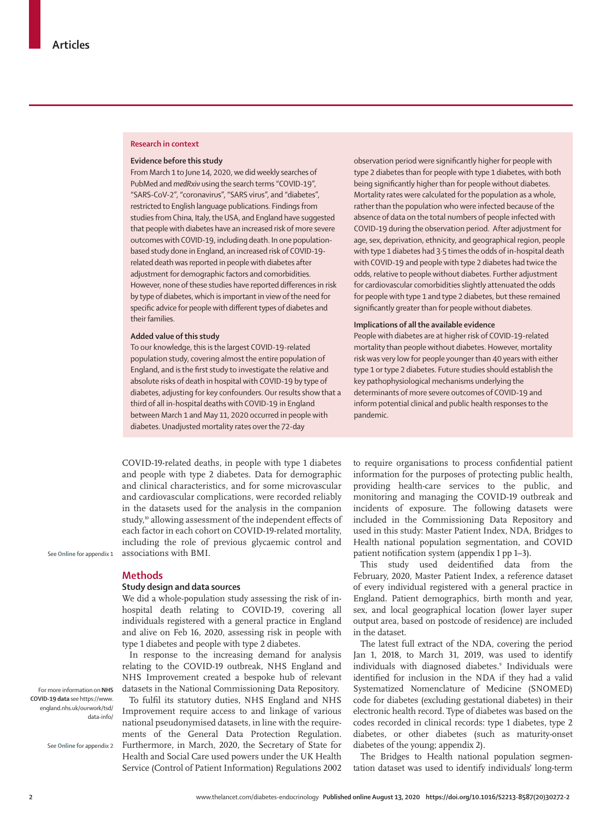#### **Research in context**

#### **Evidence before this study**

From March 1 to June 14, 2020, we did weekly searches of PubMed and *medRxiv* using the search terms "COVID-19", "SARS-CoV-2", "coronavirus", "SARS virus", and "diabetes", restricted to English language publications. Findings from studies from China, Italy, the USA, and England have suggested that people with diabetes have an increased risk of more severe outcomes with COVID-19, including death. In one populationbased study done in England, an increased risk of COVID-19 related death was reported in people with diabetes after adjustment for demographic factors and comorbidities. However, none of these studies have reported differences in risk by type of diabetes, which is important in view of the need for specific advice for people with different types of diabetes and their families.

## **Added value of this study**

To our knowledge, this is the largest COVID-19-related population study, covering almost the entire population of England, and is the first study to investigate the relative and absolute risks of death in hospital with COVID-19 by type of diabetes, adjusting for key confounders. Our results show that a third of all in-hospital deaths with COVID-19 in England between March 1 and May 11, 2020 occurred in people with diabetes. Unadjusted mortality rates over the 72-day

observation period were significantly higher for people with type 2 diabetes than for people with type 1 diabetes, with both being significantly higher than for people without diabetes. Mortality rates were calculated for the population as a whole, rather than the population who were infected because of the absence of data on the total numbers of people infected with COVID-19 during the observation period. After adjustment for age, sex, deprivation, ethnicity, and geographical region, people with type 1 diabetes had 3·5 times the odds of in-hospital death with COVID-19 and people with type 2 diabetes had twice the odds, relative to people without diabetes. Further adjustment for cardiovascular comorbidities slightly attenuated the odds for people with type 1 and type 2 diabetes, but these remained significantly greater than for people without diabetes.

#### **Implications of all the available evidence**

People with diabetes are at higher risk of COVID-19-related mortality than people without diabetes. However, mortality risk was very low for people younger than 40 years with either type 1 or type 2 diabetes. Future studies should establish the key pathophysiological mechanisms underlying the determinants of more severe outcomes of COVID-19 and inform potential clinical and public health responses to the pandemic.

COVID-19-related deaths, in people with type 1 diabetes and people with type 2 diabetes. Data for demographic and clinical characteristics, and for some microvascular and cardiovascular complications, were recorded reliably in the datasets used for the analysis in the companion study,<sup>10</sup> allowing assessment of the independent effects of each factor in each cohort on COVID-19-related mortality, including the role of previous glycaemic control and associations with BMI.

See **Online** for appendix 1

#### **Methods**

### **Study design and data sources**

We did a whole-population study assessing the risk of inhospital death relating to COVID-19, covering all individuals registered with a general practice in England and alive on Feb 16, 2020, assessing risk in people with type 1 diabetes and people with type 2 diabetes.

In response to the increasing demand for analysis relating to the COVID-19 outbreak, NHS England and NHS Improvement created a bespoke hub of relevant datasets in the [National Commissioning Data Repository.](https://www.england.nhs.uk/ourwork/tsd/data-info/)  To fulfil its statutory duties, NHS England and NHS Improvement require access to and linkage of various national pseudonymised datasets, in line with the requirements of the General Data Protection Regulation. Furthermore, in March, 2020, the Secretary of State for Health and Social Care used powers under the UK Health Service (Control of Patient Information) Regulations 2002 to require organisations to process confidential patient information for the purposes of protecting public health, providing health-care services to the public, and monitoring and managing the COVID-19 outbreak and incidents of exposure. The following datasets were included in the Commissioning Data Repository and used in this study: Master Patient Index, NDA, Bridges to Health national population segmentation, and COVID patient notification system (appendix 1 pp 1–3).

This study used deidentified data from the February, 2020, Master Patient Index, a reference dataset of every individual registered with a general practice in England. Patient demographics, birth month and year, sex, and local geographical location (lower layer super output area, based on postcode of residence) are included in the dataset.

The latest full extract of the NDA, covering the period Jan 1, 2018, to March 31, 2019, was used to identify individuals with diagnosed diabetes.<sup>9</sup> Individuals were identified for inclusion in the NDA if they had a valid Systematized Nomenclature of Medicine (SNOMED) code for diabetes (excluding gestational diabetes) in their electronic health record. Type of diabetes was based on the codes recorded in clinical records: type 1 diabetes, type 2 diabetes, or other diabetes (such as maturity-onset diabetes of the young; appendix 2).

The Bridges to Health national population segmentation dataset was used to identify individuals' long-term

For more information on **NHS COVID-19 data** see [https://www.](https://www.england.nhs.uk/ourwork/tsd/data-info/) [england.nhs.uk/ourwork/tsd/](https://www.england.nhs.uk/ourwork/tsd/data-info/) [data-info/](https://www.england.nhs.uk/ourwork/tsd/data-info/)

See **Online** for appendix 2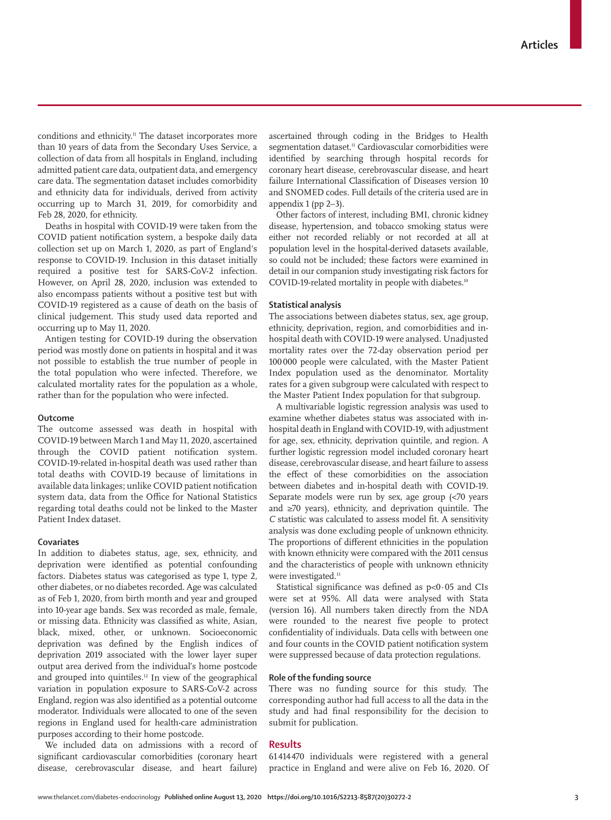conditions and ethnicity.<sup>11</sup> The dataset incorporates more than 10 years of data from the Secondary Uses Service, a collection of data from all hospitals in England, including admitted patient care data, outpatient data, and emergency care data. The segmentation dataset includes comorbidity and ethnicity data for individuals, derived from activity occurring up to March 31, 2019, for comorbidity and Feb 28, 2020, for ethnicity.

Deaths in hospital with COVID-19 were taken from the COVID patient notification system, a bespoke daily data collection set up on March 1, 2020, as part of England's response to COVID-19. Inclusion in this dataset initially required a positive test for SARS-CoV-2 infection. However, on April 28, 2020, inclusion was extended to also encompass patients without a positive test but with COVID-19 registered as a cause of death on the basis of clinical judgement. This study used data reported and occurring up to May 11, 2020.

Antigen testing for COVID-19 during the observation period was mostly done on patients in hospital and it was not possible to establish the true number of people in the total population who were infected. Therefore, we calculated mortality rates for the population as a whole, rather than for the population who were infected.

#### **Outcome**

The outcome assessed was death in hospital with COVID-19 between March 1 and May 11, 2020, ascertained through the COVID patient notification system. COVID-19-related in-hospital death was used rather than total deaths with COVID-19 because of limitations in available data linkages; unlike COVID patient notification system data, data from the Office for National Statistics regarding total deaths could not be linked to the Master Patient Index dataset.

### **Covariates**

In addition to diabetes status, age, sex, ethnicity, and deprivation were identified as potential confounding factors. Diabetes status was categorised as type 1, type 2, other diabetes, or no diabetes recorded. Age was calculated as of Feb 1, 2020, from birth month and year and grouped into 10-year age bands. Sex was recorded as male, female, or missing data. Ethnicity was classified as white, Asian, black, mixed, other, or unknown. Socioeconomic deprivation was defined by the English indices of deprivation 2019 associated with the lower layer super output area derived from the individual's home postcode and grouped into quintiles. $12$  In view of the geographical variation in population exposure to SARS-CoV-2 across England, region was also identified as a potential outcome moderator. Individuals were allocated to one of the seven regions in England used for health-care administration purposes according to their home postcode.

We included data on admissions with a record of significant cardiovascular comorbidities (coronary heart disease, cerebrovascular disease, and heart failure) ascertained through coding in the Bridges to Health segmentation dataset.<sup>11</sup> Cardiovascular comorbidities were identified by searching through hospital records for coronary heart disease, cerebrovascular disease, and heart failure International Classification of Diseases version 10 and SNOMED codes. Full details of the criteria used are in appendix 1 (pp 2–3).

Other factors of interest, including BMI, chronic kidney disease, hypertension, and tobacco smoking status were either not recorded reliably or not recorded at all at population level in the hospital-derived datasets available, so could not be included; these factors were examined in detail in our companion study investigating risk factors for COVID-19-related mortality in people with diabetes.<sup>10</sup>

## **Statistical analysis**

The associations between diabetes status, sex, age group, ethnicity, deprivation, region, and comorbidities and inhospital death with COVID-19 were analysed. Unadjusted mortality rates over the 72-day observation period per 100000 people were calculated, with the Master Patient Index population used as the denominator. Mortality rates for a given subgroup were calculated with respect to the Master Patient Index population for that subgroup.

A multivariable logistic regression analysis was used to examine whether diabetes status was associated with inhospital death in England with COVID-19, with adjustment for age, sex, ethnicity, deprivation quintile, and region. A further logistic regression model included coronary heart disease, cerebrovascular disease, and heart failure to assess the effect of these comorbidities on the association between diabetes and in-hospital death with COVID-19. Separate models were run by sex, age group (<70 years and ≥70 years), ethnicity, and deprivation quintile. The *C* statistic was calculated to assess model fit. A sensitivity analysis was done excluding people of unknown ethnicity. The proportions of different ethnicities in the population with known ethnicity were compared with the 2011 census and the characteristics of people with unknown ethnicity were investigated.<sup>13</sup>

Statistical significance was defined as  $p<0.05$  and CIs were set at 95%. All data were analysed with Stata (version 16). All numbers taken directly from the NDA were rounded to the nearest five people to protect confidentiality of individuals. Data cells with between one and four counts in the COVID patient notification system were suppressed because of data protection regulations.

## **Role of the funding source**

There was no funding source for this study. The corresponding author had full access to all the data in the study and had final responsibility for the decision to submit for publication.

## **Results**

61 414 470 individuals were registered with a general practice in England and were alive on Feb 16, 2020. Of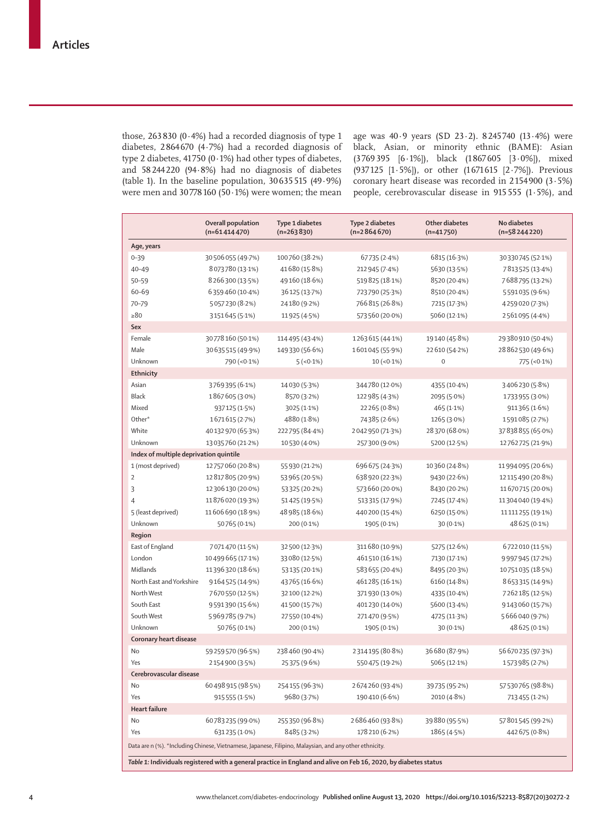those, 263830 (0∙4%) had a recorded diagnosis of type 1 diabetes, 2864 670 (4·7%) had a recorded diagnosis of type 2 diabetes, 41 750 (0∙1%) had other types of diabetes, and 58244220 (94·8%) had no diagnosis of diabetes (table 1). In the baseline population, 30635515 (49∙9%) were men and 30778160 (50 $\cdot$ 1%) were women; the mean

age was 40∙9 years (SD 23∙2). 8 245 740 (13∙4%) were black, Asian, or minority ethnic (BAME): Asian (3769 395 [6·1%]), black (1 867 605 [3·0%]), mixed (937 125 [1·5%]), or other (1671 615 [2∙7%]). Previous coronary heart disease was recorded in 2 154 900 (3∙5%) people, cerebrovascular disease in 915 555 (1∙5%), and

|                                                                                                                  | Overall population<br>$(n=61414470)$ | Type 1 diabetes<br>$(n=263830)$ | <b>Type 2 diabetes</b><br>$(n=2864670)$ | Other diabetes<br>$(n=41750)$ | No diabetes<br>$(n=58244220)$ |  |  |
|------------------------------------------------------------------------------------------------------------------|--------------------------------------|---------------------------------|-----------------------------------------|-------------------------------|-------------------------------|--|--|
| Age, years                                                                                                       |                                      |                                 |                                         |                               |                               |  |  |
| $0 - 39$                                                                                                         | 30 506 055 (49.7%)                   | 100760 (38.2%)                  | 67735 (2.4%)                            | 6815 (16.3%)                  | 30330745 (52.1%)              |  |  |
| $40 - 49$                                                                                                        | 8073780 (13.1%)                      | 41680 (15.8%)                   | 212 945 (7.4%)                          | 5630 (13.5%)                  | 7813525 (13.4%)               |  |  |
| $50 - 59$                                                                                                        | 8 266 300 (13.5%)                    | 49160 (18.6%)                   | 519825 (18-1%)                          | 8520 (20-4%)                  | 7688795 (13.2%)               |  |  |
| 60-69                                                                                                            | 6359460 (10.4%)                      | 36125 (13.7%)                   | 723790 (25.3%)                          | 8510 (20.4%)                  | 5591035 (9.6%)                |  |  |
| 70-79                                                                                                            | 5057230 (8.2%)                       | 24180 (9.2%)                    | 766 815 (26.8%)                         | 7215 (17.3%)                  | 4259020 (7.3%)                |  |  |
| >80                                                                                                              | 3151645 (5-1%)                       | 11925 (4.5%)                    | 573560 (20.0%)                          | 5060 (12.1%)                  | 2561095 (4.4%)                |  |  |
| Sex                                                                                                              |                                      |                                 |                                         |                               |                               |  |  |
| Female                                                                                                           | 30778160 (50.1%)                     | 114 495 (43 4%)                 | 1263615 (44.1%)                         | 19140 (45.8%)                 | 29380910 (50.4%)              |  |  |
| Male                                                                                                             | 30635515 (49.9%)                     | 149330 (56.6%)                  | 1601045 (55.9%)                         | 22 610 (54.2%)                | 28 862 530 (49.6%)            |  |  |
| Unknown                                                                                                          | 790 (< 0.1%)                         | $5(-0.1\%)$                     | $10 (-0.1\%)$                           | $\boldsymbol{0}$              | 775 (<0.1%)                   |  |  |
| Ethnicity                                                                                                        |                                      |                                 |                                         |                               |                               |  |  |
| Asian                                                                                                            | 3769395 (6.1%)                       | 14 0 30 (5 · 3%)                | 344780 (12.0%)                          | 4355 (10.4%)                  | 3406230 (5.8%)                |  |  |
| <b>Black</b>                                                                                                     | 1867605 (3.0%)                       | 8570 (3.2%)                     | 122 985 (4.3%)                          | 2095 (5.0%)                   | 1733 955 (3.0%)               |  |  |
| Mixed                                                                                                            | 937125 (1.5%)                        | 3025 (1.1%)                     | 22265 (0.8%)                            | 465 (1.1%)                    | 911365 (1.6%)                 |  |  |
| Other*                                                                                                           | 1671615 (2.7%)                       | 4880 (1.8%)                     | 74385 (2.6%)                            | 1265 (3.0%)                   | 1591085 (2.7%)                |  |  |
| White                                                                                                            | 40132970 (65.3%)                     | 222795 (84-4%)                  | 2042950 (71.3%)                         | 28370 (68.0%)                 | 37838855 (65.0%)              |  |  |
| Unknown                                                                                                          | 13035760 (21.2%)                     | 10530 (4.0%)                    | 257300 (9.0%)                           | 5200 (12.5%)                  | 12762725 (21.9%)              |  |  |
| Index of multiple deprivation quintile                                                                           |                                      |                                 |                                         |                               |                               |  |  |
| 1 (most deprived)                                                                                                | 12757060 (20.8%)                     | 55 930 (21.2%)                  | 696 675 (24.3%)                         | 10360 (24.8%)                 | 11994095 (20.6%)              |  |  |
| $\overline{2}$                                                                                                   | 12817805 (20.9%)                     | 53 965 (20.5%)                  | 638 920 (22-3%)                         | 9430 (22.6%)                  | 12 115 490 (20.8%)            |  |  |
| 3                                                                                                                | 12306130 (20.0%)                     | 53325 (20.2%)                   | 573 660 (20.0%)                         | 8430 (20.2%)                  | 11670715 (20.0%)              |  |  |
| $\overline{4}$                                                                                                   | 11876020 (19.3%)                     | 51425 (19.5%)                   | 513315 (17.9%)                          | 7245 (17.4%)                  | 11304040 (19.4%)              |  |  |
| 5 (least deprived)                                                                                               | 11606690 (18.9%)                     | 48 985 (18.6%)                  | 440200 (15-4%)                          | 6250 (15.0%)                  | 11111255 (19.1%)              |  |  |
| Unknown                                                                                                          | 50765 (0.1%)                         | 200 (0.1%)                      | 1905 (0.1%)                             | 30 (0.1%)                     | 48 625 (0.1%)                 |  |  |
| Region                                                                                                           |                                      |                                 |                                         |                               |                               |  |  |
| East of England                                                                                                  | 7071470 (11.5%)                      | 32500 (12.3%)                   | 311 680 (10.9%)                         | 5275 (12.6%)                  | 6722010 (11.5%)               |  |  |
| London                                                                                                           | 10499665 (17-1%)                     | 33080 (12.5%)                   | 461510 (16.1%)                          | 7130 (17.1%)                  | 9997945 (17-2%)               |  |  |
| Midlands                                                                                                         | 11396320 (18.6%)                     | 53 135 (20-1%)                  | 583 655 (20-4%)                         | 8495 (20.3%)                  | 10751035 (18.5%)              |  |  |
| North East and Yorkshire                                                                                         | 9164525 (14.9%)                      | 43765 (16.6%)                   | 461285 (16-1%)                          | 6160 (14.8%)                  | 8653315 (14.9%)               |  |  |
| North West                                                                                                       | 7670550 (12.5%)                      | 32 100 (12-2%)                  | 371930 (13.0%)                          | 4335 (10.4%)                  | 7262185 (12.5%)               |  |  |
| South East                                                                                                       | 9591390 (15.6%)                      | 41500 (15.7%)                   | 401230 (14.0%)                          | 5600 (13.4%)                  | 9143060 (15.7%)               |  |  |
| South West                                                                                                       | 5969785 (9.7%)                       | 27550 (10.4%)                   | 271470 (9.5%)                           | 4725 (11.3%)                  | 5666040 (9.7%)                |  |  |
| Unknown                                                                                                          | 50765 (0.1%)                         | 200 (0.1%)                      | 1905 (0.1%)                             | 30 (0.1%)                     | 48 625 (0.1%)                 |  |  |
| Coronary heart disease                                                                                           |                                      |                                 |                                         |                               |                               |  |  |
| No                                                                                                               | 59259570 (96.5%)                     | 238460 (90.4%)                  | 2314195 (80.8%)                         | 36680 (87.9%)                 | 56 670 235 (97.3%)            |  |  |
| Yes                                                                                                              | 2154900 (3.5%)                       | 25375 (9.6%)                    | 550475 (19-2%)                          | 5065 (12.1%)                  | 1573985 (2.7%)                |  |  |
| Cerebrovascular disease                                                                                          |                                      |                                 |                                         |                               |                               |  |  |
| No                                                                                                               | 60498915 (98.5%)                     | 254155 (96.3%)                  | 2674260 (93.4%)                         | 39735 (95-2%)                 | 57530765 (98.8%)              |  |  |
| Yes                                                                                                              | 915 555 (1.5%)                       | 9680 (3.7%)                     | 190410 (6.6%)                           | 2010 (4.8%)                   | 713 455 (1.2%)                |  |  |
| <b>Heart failure</b>                                                                                             |                                      |                                 |                                         |                               |                               |  |  |
| No                                                                                                               | 60783235 (99.0%)                     | 255350 (96.8%)                  | 2686460 (93.8%)                         | 39880 (95.5%)                 | 57801545 (99.2%)              |  |  |
| Yes                                                                                                              | 631235 (1.0%)                        | 8485 (3.2%)                     | 178 210 (6.2%)                          | 1865 (4.5%)                   | 442 675 (0.8%)                |  |  |
| Data are n (%). *Including Chinese, Vietnamese, Japanese, Filipino, Malaysian, and any other ethnicity.          |                                      |                                 |                                         |                               |                               |  |  |
| Table 1: Individuals registered with a general practice in England and alive on Feb 16, 2020, by diabetes status |                                      |                                 |                                         |                               |                               |  |  |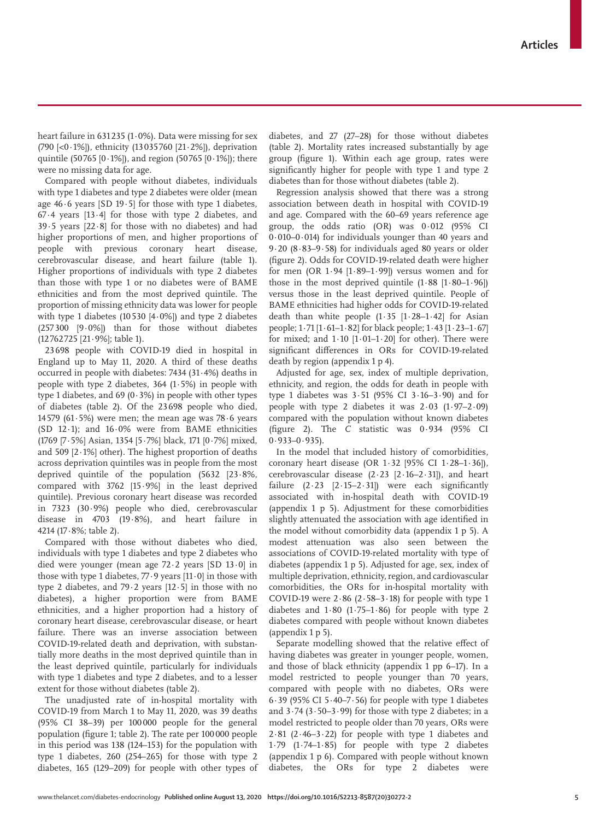heart failure in 631 235 (1∙0%). Data were missing for sex (790 [<0·1%]), ethnicity (13 035760 [21·2%]), deprivation quintile (50765 [0 $\cdot$ 1%]), and region (50765 [0 $\cdot$ 1%]); there were no missing data for age.

Compared with people without diabetes, individuals with type 1 diabetes and type 2 diabetes were older (mean age 46∙6 years [SD 19∙5] for those with type 1 diabetes, 67∙4 years [13∙4] for those with type 2 diabetes, and 39∙5 years [22∙8] for those with no diabetes) and had higher proportions of men, and higher proportions of people with previous coronary heart disease, cerebrovascular disease, and heart failure (table 1). Higher proportions of individuals with type 2 diabetes than those with type 1 or no diabetes were of BAME ethnicities and from the most deprived quintile. The proportion of missing ethnicity data was lower for people with type 1 diabetes (10 530 [4·0%]) and type 2 diabetes (257300 [9·0%]) than for those without diabetes (12 762725 [21·9%]; table 1).

23698 people with COVID-19 died in hospital in England up to May 11, 2020. A third of these deaths occurred in people with diabetes: 7434 (31∙4%) deaths in people with type 2 diabetes, 364 (1∙5%) in people with type 1 diabetes, and 69 (0∙3%) in people with other types of diabetes (table 2). Of the 23 698 people who died, 14 579 (61∙5%) were men; the mean age was 78∙6 years (SD 12∙1); and 16∙0% were from BAME ethnicities (1769 [7∙5%] Asian, 1354 [5∙7%] black, 171 [0∙7%] mixed, and 509 [2∙1%] other). The highest proportion of deaths across deprivation quintiles was in people from the most deprived quintile of the population (5632 [23∙8%, compared with 3762 [15∙9%] in the least deprived quintile). Previous coronary heart disease was recorded in 7323 (30∙9%) people who died, cerebrovascular disease in 4703 (19∙8%), and heart failure in 4214 (17∙8%; table 2).

Compared with those without diabetes who died, individuals with type 1 diabetes and type 2 diabetes who died were younger (mean age 72∙2 years [SD 13∙0] in those with type 1 diabetes, 77∙9 years [11∙0] in those with type 2 diabetes, and 79∙2 years [12∙5] in those with no diabetes), a higher proportion were from BAME ethnicities, and a higher proportion had a history of coronary heart disease, cerebrovascular disease, or heart failure. There was an inverse association between COVID-19-related death and deprivation, with substantially more deaths in the most deprived quintile than in the least deprived quintile, particularly for individuals with type 1 diabetes and type 2 diabetes, and to a lesser extent for those without diabetes (table 2).

The unadjusted rate of in-hospital mortality with COVID-19 from March 1 to May 11, 2020, was 39 deaths (95% CI 38–39) per 100000 people for the general population (figure 1; table 2). The rate per 100 000 people in this period was 138 (124–153) for the population with type 1 diabetes, 260 (254–265) for those with type 2 diabetes, 165 (129–209) for people with other types of diabetes, and 27 (27–28) for those without diabetes (table 2). Mortality rates increased substantially by age group (figure 1). Within each age group, rates were significantly higher for people with type 1 and type 2 diabetes than for those without diabetes (table 2).

Regression analysis showed that there was a strong association between death in hospital with COVID-19 and age. Compared with the 60–69 years reference age group, the odds ratio (OR) was 0∙012 (95% CI 0∙010–0∙014) for individuals younger than 40 years and 9∙20 (8∙83–9∙58) for individuals aged 80 years or older (figure 2). Odds for COVID-19-related death were higher for men (OR 1∙94 [1∙89–1∙99]) versus women and for those in the most deprived quintile (1∙88 [1∙80–1∙96]) versus those in the least deprived quintile. People of BAME ethnicities had higher odds for COVID-19-related death than white people (1∙35 [1∙28–1∙42] for Asian people; 1∙71 [1∙61–1∙82] for black people; 1·43 [1·23–1·67] for mixed; and  $1.10$   $[1.01–1.20]$  for other). There were significant differences in ORs for COVID-19-related death by region (appendix 1 p 4).

Adjusted for age, sex, index of multiple deprivation, ethnicity, and region, the odds for death in people with type 1 diabetes was 3∙51 (95% CI 3∙16–3∙90) and for people with type 2 diabetes it was 2∙03 (1∙97–2∙09) compared with the population without known diabetes (figure 2). The *C* statistic was 0·934 (95% CI 0·933–0·935).

In the model that included history of comorbidities, coronary heart disease (OR 1∙32 [95% CI 1∙28–1∙36]), cerebrovascular disease (2∙23 [2∙16–2∙31]), and heart failure (2∙23 [2∙15–2∙31]) were each significantly associated with in-hospital death with COVID-19 (appendix 1 p 5). Adjustment for these comorbidities slightly attenuated the association with age identified in the model without comorbidity data (appendix 1 p 5). A modest attenuation was also seen between the associations of COVID-19-related mortality with type of diabetes (appendix 1 p 5). Adjusted for age, sex, index of multiple deprivation, ethnicity, region, and cardiovascular comorbidities, the ORs for in-hospital mortality with COVID-19 were 2∙86 (2∙58–3∙18) for people with type 1 diabetes and 1∙80 (1∙75–1∙86) for people with type 2 diabetes compared with people without known diabetes (appendix 1 p 5).

Separate modelling showed that the relative effect of having diabetes was greater in younger people, women, and those of black ethnicity (appendix 1 pp 6–17). In a model restricted to people younger than 70 years, compared with people with no diabetes, ORs were 6∙39 (95% CI 5∙40–7∙56) for people with type 1 diabetes and 3∙74 (3∙50–3∙99) for those with type 2 diabetes; in a model restricted to people older than 70 years, ORs were 2∙81 (2∙46–3∙22) for people with type 1 diabetes and 1∙79 (1∙74–1∙85) for people with type 2 diabetes (appendix 1 p 6). Compared with people without known diabetes, the ORs for type 2 diabetes were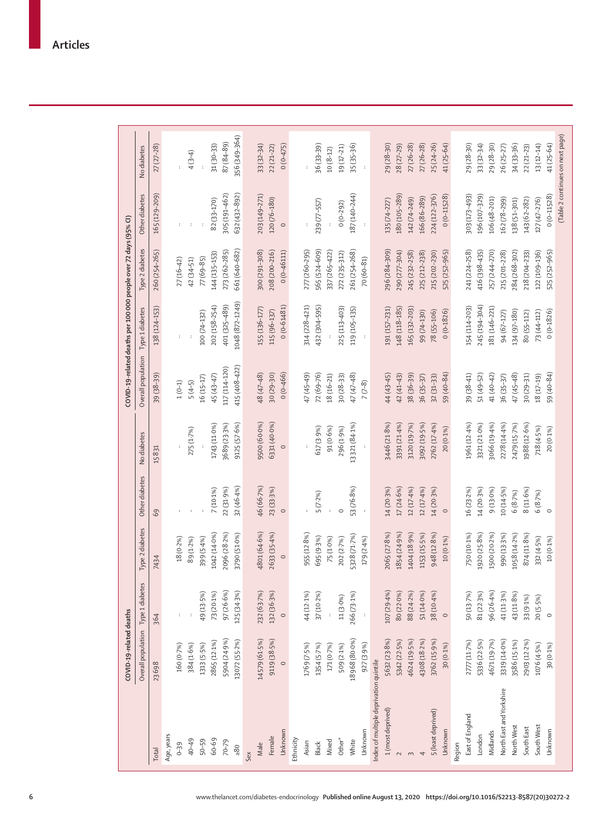|                                        | COVID-19-related deaths |                      |                       |                |                      |                    | COVID-19-related deaths per 100 000 people over 72 days (95% CI) |                 |                      |               |
|----------------------------------------|-------------------------|----------------------|-----------------------|----------------|----------------------|--------------------|------------------------------------------------------------------|-----------------|----------------------|---------------|
|                                        | Overall population      | Type 1 diabetes      | Type 2 diabetes       | Other diabetes | No diabetes          | Overall population | Type 1 diabetes                                                  | Type 2 diabetes | Other diabetes       | No diabetes   |
| Total                                  | 23698                   | 364                  | 7434                  | 69             | 15831                | 39 (38-39)         | 138 (124-153)                                                    | 260 (254-265)   | 165 (129-209)        | $27(27-28)$   |
| Age, years                             |                         |                      |                       |                |                      |                    |                                                                  |                 |                      |               |
| $0 - 39$                               | 160 (0.7%)              | $\ddot{\phantom{a}}$ | $18(0.2\%)$           | ł.             | $\ddot{\phantom{a}}$ | $1(0-1)$           | $\colon$                                                         | $27(16-42)$     | ÷.                   | ł             |
| 40-49                                  | 384 (1.6%)              |                      | 89 (1.2%)             | $\cdot$        | 275 (1.7%)           | $5(4-5)$           |                                                                  | 42 (34-51)      | $\cdot$              | $4(3-4)$      |
| $50 - 59$                              | 1313 (5-5%)             | 49 (13-5%)           | 399 (5-4%)            | $\cdot$        |                      | $16(15 - 17)$      | 100 (74-132)                                                     | 77 (69-85)      | $\cdot$              |               |
| 60-69                                  | 2865 (12-1%)            | 73 (20.1%)           | 1042 (14-0%)          | 7 (10.1%)      | 1743 (11.0%)         | 45 (43-47)         | 202 (158-254)                                                    | 144 (135-153)   | 82 (33-170)          | 31 (30-33)    |
| $70 - 79$                              | 5904 (24.9%)            | 97 (26-6%)           | 2096 (28.2%)          | 22 (31.9%)     | 3689 (23-3%)         | 117 (114-120)      | 401 (325-489)                                                    | 273 (262-285)   | 305 (191-462)        | $87(84 - 89)$ |
| $\geq 80$                              | 13072 (55.2%)           | 125 (34-3%)          | 3790 (51.0%)          | 32 (46.4%)     | 9125 (57.6%)         | 415 (408-422)      | 1048 (872-1249)                                                  | 661 (640-682)   | 632 (432-892)        | 356 (349-364) |
| Sex                                    |                         |                      |                       |                |                      |                    |                                                                  |                 |                      |               |
| Male                                   | 14579 (61-5%)           | 232 (63.7%)          | 4801 (64-6%)          | 46 (66-7%)     | 9500 (60.0%)         | 48 (47-48)         | 155 (136-177)                                                    | 300 (291-308)   | 203 (149-271)        | $33(32 - 34)$ |
| Female                                 | 9119 (38.5%)            | 132 (36-3%)          | 2633 (35.4%)          | 23 (33-3%)     | 6331 (40.0%)         | $30(29-30)$        | 115 (96-137)                                                     | 208 (200-216)   | 120 (76-180)         | $22(21-22)$   |
| Unknown                                | $\circ$                 | $\circ$              | $\circ$               | $\circ$        | $\circ$              | $0(0-466)$         | $0(0 - 61481)$                                                   | $0(0-46111)$    | $\circ$              | $0(0-475)$    |
| Ethnicity                              |                         |                      |                       |                |                      |                    |                                                                  |                 |                      |               |
| Asian                                  | 1769 (7-5%)             | 44 (12-1%)           | 955 (12.8%)           | ÷              | ł                    | 47 (45-49)         | 314 (228-421)                                                    | 277 (260-295)   | $\ddot{\phantom{a}}$ | þ             |
| Black                                  | 1354 (5-7%)             | 37 (10-2%)           | 695 <sub>(9·3%)</sub> | 5(7.2%)        | 617 (3.9%)           | $72(69 - 76)$      | 432 (304-595)                                                    | 565 (524-609)   | 239 (77-557)         | 36 (33-39)    |
| Mixed                                  | 171 (0.7%)              |                      | 75 (1-0%)             | $\cdot$        | 91 (0.6%)            | 18 (16-21)         |                                                                  | 337 (265-422)   |                      | $10(8-12)$    |
| Other*                                 | 509 (2.1%)              | 11 (3.0%)            | 202 (2-7%)            | $\circ$        | 296 (1.9%)           | $30(28-33)$        | 225 (113-403)                                                    | 272 (235-312)   | $0(0-292)$           | 19 (17-21)    |
| White                                  | 18968 (80.0%)           | 266 (73.1%)          | 5328 (71.7%)          | 53 (76-8%)     | 13 321 (84.1%)       | 47 (47-48)         | 119 (105-135)                                                    | 261 (254-268)   | 187 (140-244)        | 35 (35-36)    |
| Unknown                                | 927 (3.9%)              | $\cdot$              | 179 (2.4%)            | $\cdot$        | $\cdot$              | $7(7-8)$           | $\cdot$                                                          | $70(60 - 81)$   | $\cdot$              | $\cdot$       |
| Index of multiple deprivation quintile |                         |                      |                       |                |                      |                    |                                                                  |                 |                      |               |
| 1 (most deprived)                      | 5632 (23.8%)            | 107 (29.4%)          | 2065 (27.8%)          | 14 (20.3%)     | 3446 (21.8%)         | 44 (43-45)         | 191 (157-231)                                                    | 296 (284-309)   | 135 (74-227)         | 29 (28-30)    |
| $\sim$                                 | 5342 (22-5%)            | 80 (22.0%)           | 1854 (24.9%)          | 17 (24.6%)     | 3391 (21-4%)         | $42(41-43)$        | 148 (118-185)                                                    | 290 (277-304)   | 180 (105-289)        | 28 (27-29)    |
| $\sim$                                 | 4624 (19-5%)            | 88 (24.2%)           | 1404 (18.9%)          | 12 (17.4%)     | 3120 (19.7%)         | 38 (36-39)         | 165 (132-203)                                                    | 245 (232-258)   | 142 (74-249)         | $27(26-28)$   |
| 4                                      | 4308 (18.2%)            | 51 (14.0%)           | 1153 (15-5%)          | 12 (17.4%)     | 3092 (19.5%)         | 36 (35-37)         | 99 (74-130)                                                      | 225 (212-238)   | 166 (86-289)         | $27(26-28)$   |
| 5 (least deprived)                     | 3762 (15.9%)            | 38 (10-4%)           | 948 (12.8%)           | 14 (20.3%)     | 2762 (17-4%)         | $32(31-33)$        | 78 (55-106)                                                      | 215 (202-230)   | 224 (122-376)        | $25(24-26)$   |
| Unknown                                | $30(0.1\%)$             | $\circ$              | $10(0.1\%)$           | $\circ$        | $20(0.1\%)$          | 59 (40-84)         | $0(0 - 1826)$                                                    | 525 (252-965)   | $0(0-11528)$         | $41(25-64)$   |
| Region                                 |                         |                      |                       |                |                      |                    |                                                                  |                 |                      |               |
| East of England                        | 2777 (11-7%)            | 50 (13.7%)           | 750 (10.1%)           | 16 (23.2%)     | 1961 (12-4%)         | 39 (38-41)         | 154 (114-203)                                                    | 241 (224-258)   | 303 (173-493)        | 29 (28-30)    |
| London                                 | 5336 (22.5%)            | 81 (22-3%)           | 1920 (25.8%)          | 14 (20.3%)     | 3321 (21.0%)         | 51 (49-52)         | 245 (194-304)                                                    | 416 (398-435)   | 196 (107-329)        | $33(32 - 34)$ |
| Midlands                               | 4671 (19-7%)            | 96 (26-4%)           | 1500 (20-2%)          | 9 (13.0%)      | 3066 (19-4%)         | 41 (40-42)         | 181 (146-221)                                                    | 257 (244-270)   | 106 (48-201)         | 29 (28-30)    |
| North East and Yorkshire               | 3319 (14.0%)            | 41 (11.3%)           | 990 (13-3%)           | 10 (14-5%)     | 2278 (14-4%)         | 36 (35-37)         | 94 (67-127)                                                      | 215 (201-228)   | 162 (78-299)         | 26 (25-27)    |
| North West                             | 3586 (15-1%)            | 43 (11.8%)           | 1058 (14-2%)          | 6 (8.7%)       | 2479 (15.7%)         | 47 (45-48)         | 134 (97-180)                                                     | 284 (268-302)   | 138 (51-301)         | 34 (33-36)    |
| South East                             | 2903 (12.2%)            | 33 (9.1%)            | 874 (11.8%)           | 8(11.6%)       | 1988 (12.6%)         | $30(29 - 31)$      | 80 (55-112)                                                      | 218 (204-233)   | 143 (62-282)         | $22(21-23)$   |
| South West                             | 1076 (4.5%)             | 20(5-5%)             | 332 (4-5%)            | 6 (8.7%)       | 718 (4-5%)           | 18 (17-19)         | 73 (44-112)                                                      | 122 (109-136)   | $127(47 - 276)$      | $13(12 - 14)$ |
|                                        |                         |                      |                       |                |                      |                    |                                                                  |                 |                      |               |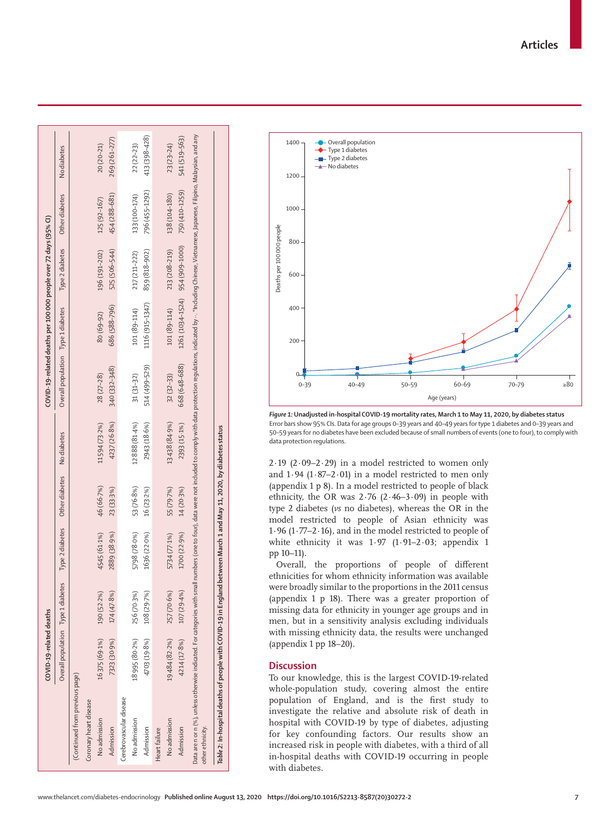|                                                                                                | COVID-19-related deaths            |             |                                                      |                |               |                                                                                                                                                                                 | COVID-19-related deaths per 100 000 people over 72 days (95% CI) |                 |                |               |
|------------------------------------------------------------------------------------------------|------------------------------------|-------------|------------------------------------------------------|----------------|---------------|---------------------------------------------------------------------------------------------------------------------------------------------------------------------------------|------------------------------------------------------------------|-----------------|----------------|---------------|
|                                                                                                | Overall population Type 1 diabetes |             | Type 2 diabetes                                      | Other diabetes | No diabetes   | Overall population Type 1 diabetes                                                                                                                                              |                                                                  | Type 2 diabetes | Other diabetes | No diabetes   |
| (Continued from previous page)                                                                 |                                    |             |                                                      |                |               |                                                                                                                                                                                 |                                                                  |                 |                |               |
| Coronary heart disease                                                                         |                                    |             |                                                      |                |               |                                                                                                                                                                                 |                                                                  |                 |                |               |
| No admission                                                                                   | 16375 (69.1%)                      | 190 (52.2%) | 4545 (61.1%)                                         | 46 (66.7%)     | 11594 (73.2%) | 28 (27-28)                                                                                                                                                                      | $80(69 - 92)$                                                    | 196 (191-202)   | 125 (92-167)   | $20(20-21)$   |
| Admission                                                                                      | 7323 (30.9%)                       | 174 (47.8%) | 2889 (38.9%)                                         | 23 (33.3%)     | 4237 (26.8%)  | 340 (332-348)                                                                                                                                                                   | 686 (588-796)                                                    | 525 (506-544)   | 454 (288-681)  | 269 (261-277) |
| Cerebrovascular disease                                                                        |                                    |             |                                                      |                |               |                                                                                                                                                                                 |                                                                  |                 |                |               |
| No admission                                                                                   | 18995 (80.2%)                      | 256 (70.3%) | 5798 (78-0%)                                         | 53 (76-8%)     | 12888 (81.4%) | $31(31-32)$                                                                                                                                                                     | 101 (89-114)                                                     | 217 (211-222)   | 133 (100-174)  | $22(22-23)$   |
| Admission                                                                                      | 4703 (19.8%)                       | 108 (29.7%) | 1636 (22.0%)                                         | 16 (23.2%)     | 2943 (18.6%)  | 514 (499-529)                                                                                                                                                                   | 1116 (915-1347)                                                  | 859 (818-902)   | 796 (455-1292) | 413 (398-428) |
| Heart failure                                                                                  |                                    |             |                                                      |                |               |                                                                                                                                                                                 |                                                                  |                 |                |               |
| No admission                                                                                   | 19484 (82.2%)                      | 257 (70.6%) | 5734 (77.1%)                                         | 55 (79.7%)     | 13438 (84.9%) | $32(32-33)$                                                                                                                                                                     | 101 (89-114)                                                     | 213 (208-219)   | 138 (104-180)  | $23(23-24)$   |
| Admission                                                                                      | 4214 (17-8%)                       | 107 (29.4%) | 1700 (22.9%)                                         | 14 (20.3%)     | 2393 (15-1%)  | 668 (648-688)                                                                                                                                                                   | 1261 (1034-1524) 954 (909-1000)                                  |                 | 750 (410-1259) | 541 (519-563) |
| Data are n or n (%), unless otherwise indicated. For categories with small<br>other ethnicity. |                                    |             |                                                      |                |               | numbers (one to four), data were not included to comply with data protection regulations, indicated by … *Including Chinese, Vietnamese, Japanese, Filipino, Malaysian, and any |                                                                  |                 |                |               |
| Table 2: In-hospital deaths of people with COVID-19 in England                                 |                                    |             | between March 1 and May 11, 2020, by diabetes status |                |               |                                                                                                                                                                                 |                                                                  |                 |                |               |



*Figure 1:* **Unadjusted in-hospital COVID-19 mortality rates, March 1 to May 11, 2020, by diabetes status** Error bars show 95% CIs. Data for age groups 0–39 years and 40–49 years for type 1 diabetes and 0–39 years and 50–59 years for no diabetes have been excluded because of small numbers of events (one to four), to comply with data protection regulations.

 $2.19$  ( $2.09 - 2.29$ ) in a model restricted to women only and  $1.94$  ( $1.87-2.01$ ) in a model restricted to men only (appendix 1 p 8). In a model restricted to people of black ethnicity, the OR was 2·76 (2·46–3·09) in people with type 2 diabetes (*vs* no diabetes), whereas the OR in the model restricted to people of Asian ethnicity was 1·96 (1·77–2·16), and in the model restricted to people of white ethnicity it was 1·97 (1·91–2·03; appendix 1 pp 10–11).

Overall, the proportions of people of different ethnicities for whom ethnicity information was available were broadly similar to the proportions in the 2011 census (appendix 1 p 18). There was a greater proportion of missing data for ethnicity in younger age groups and in men, but in a sensitivity analysis excluding individuals with missing ethnicity data, the results were unchanged (appendix 1 pp 18–20).

# **Discussion**

To our knowledge, this is the largest COVID-19-related whole-population study, covering almost the entire population of England, and is the first study to investigate the relative and absolute risk of death in hospital with COVID-19 by type of diabetes, adjusting for key confounding factors. Our results show an increased risk in people with diabetes, with a third of all in-hospital deaths with COVID-19 occurring in people with diabetes.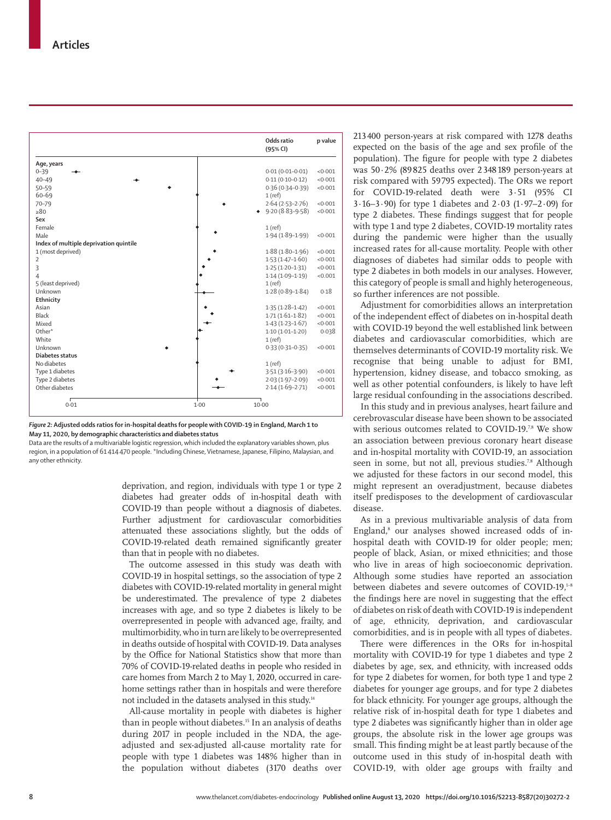|                                        |      | Odds ratio<br>(95% CI) | p value |
|----------------------------------------|------|------------------------|---------|
| Age, years                             |      |                        |         |
| $0 - 39$                               |      | $0.01(0.01 - 0.01)$    | <0.001  |
| $40 - 49$                              |      | $0.11(0.10 - 0.12)$    | < 0.001 |
| $50 - 59$                              |      | $0.36(0.34 - 0.39)$    | < 0.001 |
| 60-69                                  |      | $1$ (ref)              |         |
| 70-79                                  |      | $2.64(2.53 - 2.76)$    | < 0.001 |
| >80                                    |      | $9.20(8.83 - 9.58)$    | < 0.001 |
| Sex                                    |      |                        |         |
| Female                                 |      | $1$ (ref)              |         |
| Male                                   |      | $1.94(1.89-1.99)$      | < 0.001 |
| Index of multiple deprivation quintile |      |                        |         |
| 1 (most deprived)                      |      | $1.88(1.80-1.96)$      | < 0.001 |
| $\overline{2}$                         |      | $1.53(1.47 - 1.60)$    | < 0.001 |
| 3                                      |      | $1.25(1.20-1.31)$      | < 0.001 |
| $\overline{4}$                         |      | $1.14(1.09-1.19)$      | < 0.001 |
| 5 (least deprived)                     |      | $1$ (ref)              |         |
| Unknown                                |      | $1.28(0.89 - 1.84)$    | 0.18    |
| Ethnicity                              |      |                        |         |
| Asian                                  |      | $1.35(1.28 - 1.42)$    | < 0.001 |
| Black                                  |      | $1.71(1.61-1.82)$      | < 0.001 |
| Mixed                                  |      | $1.43(1.23 - 1.67)$    | < 0.001 |
| Other*                                 |      | $1.10(1.01 - 1.20)$    | 0.038   |
| White                                  |      | $1$ (ref)              |         |
| Unknown                                |      | $0.33(0.31 - 0.35)$    | < 0.001 |
| Diabetes status                        |      |                        |         |
| No diabetes                            |      | $1$ (ref)              |         |
| Type 1 diabetes                        |      | $3.51(3.16-3.90)$      | < 0.001 |
| Type 2 diabetes                        |      | $2.03(1.97 - 2.09)$    | < 0.001 |
| Other diabetes                         |      | $2.14(1.69-2.71)$      | < 0.001 |
| 0.01                                   | 1.00 | 10.00                  |         |



Data are the results of a multivariable logistic regression, which included the explanatory variables shown, plus region, in a population of 61414470 people. \*Including Chinese, Vietnamese, Japanese, Filipino, Malaysian, and any other ethnicity.

> deprivation, and region, individuals with type 1 or type 2 diabetes had greater odds of in-hospital death with COVID-19 than people without a diagnosis of diabetes. Further adjustment for cardiovascular comorbidities attenuated these associations slightly, but the odds of COVID-19-related death remained significantly greater than that in people with no diabetes.

> The outcome assessed in this study was death with COVID-19 in hospital settings, so the association of type 2 diabetes with COVID-19-related mortality in general might be underestimated. The prevalence of type 2 diabetes increases with age, and so type 2 diabetes is likely to be overrepresented in people with advanced age, frailty, and multimorbidity, who in turn are likely to be overrepresented in deaths outside of hospital with COVID-19. Data analyses by the Office for National Statistics show that more than 70% of COVID-19-related deaths in people who resided in care homes from March 2 to May 1, 2020, occurred in carehome settings rather than in hospitals and were therefore not included in the datasets analysed in this study.14

> All-cause mortality in people with diabetes is higher than in people without diabetes.<sup>15</sup> In an analysis of deaths during 2017 in people included in the NDA, the ageadjusted and sex-adjusted all-cause mortality rate for people with type 1 diabetes was 148% higher than in the population without diabetes (3170 deaths over

213400 person-years at risk compared with 1278 deaths expected on the basis of the age and sex profile of the population). The figure for people with type 2 diabetes was 50·2% (89825 deaths over 2348189 person-years at risk compared with 59 795 expected). The ORs we report for COVID-19-related death were 3·51 (95% CI 3·16–3·90) for type 1 diabetes and 2·03 (1·97–2·09) for type 2 diabetes. These findings suggest that for people with type 1 and type 2 diabetes, COVID-19 mortality rates during the pandemic were higher than the usually increased rates for all-cause mortality. People with other diagnoses of diabetes had similar odds to people with type 2 diabetes in both models in our analyses. However, this category of people is small and highly heterogeneous, so further inferences are not possible.

Adjustment for comorbidities allows an interpretation of the independent effect of diabetes on in-hospital death with COVID-19 beyond the well established link between diabetes and cardiovascular comorbidities, which are themselves determinants of COVID-19 mortality risk. We recognise that being unable to adjust for BMI, hypertension, kidney disease, and tobacco smoking, as well as other potential confounders, is likely to have left large residual confounding in the associations described.

In this study and in previous analyses, heart failure and cerebrovascular disease have been shown to be associated with serious outcomes related to COVID-19.78 We show an association between previous coronary heart disease and in-hospital mortality with COVID-19, an association seen in some, but not all, previous studies.<sup>7,8</sup> Although we adjusted for these factors in our second model, this might represent an overadjustment, because diabetes itself predisposes to the development of cardiovascular disease.

As in a previous multivariable analysis of data from England,<sup>8</sup> our analyses showed increased odds of inhospital death with COVID-19 for older people; men; people of black, Asian, or mixed ethnicities; and those who live in areas of high socioeconomic deprivation. Although some studies have reported an association between diabetes and severe outcomes of COVID-19,<sup>1-8</sup> the findings here are novel in suggesting that the effect of diabetes on risk of death with COVID-19 is independent of age, ethnicity, deprivation, and cardiovascular comorbidities, and is in people with all types of diabetes.

There were differences in the ORs for in-hospital mortality with COVID-19 for type 1 diabetes and type 2 diabetes by age, sex, and ethnicity, with increased odds for type 2 diabetes for women, for both type 1 and type 2 diabetes for younger age groups, and for type 2 diabetes for black ethnicity. For younger age groups, although the relative risk of in-hospital death for type 1 diabetes and type 2 diabetes was significantly higher than in older age groups, the absolute risk in the lower age groups was small. This finding might be at least partly because of the outcome used in this study of in-hospital death with COVID-19, with older age groups with frailty and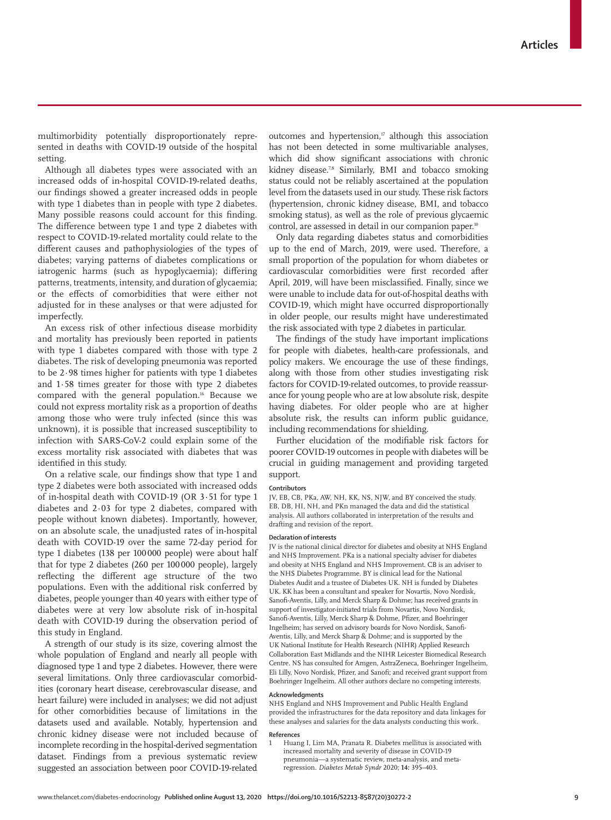multimorbidity potentially disproportionately represented in deaths with COVID-19 outside of the hospital setting.

Although all diabetes types were associated with an increased odds of in-hospital COVID-19-related deaths, our findings showed a greater increased odds in people with type 1 diabetes than in people with type 2 diabetes. Many possible reasons could account for this finding. The difference between type 1 and type 2 diabetes with respect to COVID-19-related mortality could relate to the different causes and pathophysiologies of the types of diabetes; varying patterns of diabetes complications or iatrogenic harms (such as hypoglycaemia); differing patterns, treatments, intensity, and duration of glycaemia; or the effects of comorbidities that were either not adjusted for in these analyses or that were adjusted for imperfectly.

An excess risk of other infectious disease morbidity and mortality has previously been reported in patients with type 1 diabetes compared with those with type 2 diabetes. The risk of developing pneumonia was reported to be 2·98 times higher for patients with type 1 diabetes and 1·58 times greater for those with type 2 diabetes compared with the general population.16 Because we could not express mortality risk as a proportion of deaths among those who were truly infected (since this was unknown), it is possible that increased susceptibility to infection with SARS-CoV-2 could explain some of the excess mortality risk associated with diabetes that was identified in this study.

On a relative scale, our findings show that type 1 and type 2 diabetes were both associated with increased odds of in-hospital death with COVID-19 (OR 3·51 for type 1 diabetes and 2·03 for type 2 diabetes, compared with people without known diabetes). Importantly, however, on an absolute scale, the unadjusted rates of in-hospital death with COVID-19 over the same 72-day period for type 1 diabetes (138 per 100000 people) were about half that for type 2 diabetes (260 per 100 000 people), largely reflecting the different age structure of the two populations. Even with the additional risk conferred by diabetes, people younger than 40 years with either type of diabetes were at very low absolute risk of in-hospital death with COVID-19 during the observation period of this study in England.

A strength of our study is its size, covering almost the whole population of England and nearly all people with diagnosed type 1 and type 2 diabetes. However, there were several limitations. Only three cardiovascular comorbidities (coronary heart disease, cerebrovascular disease, and heart failure) were included in analyses; we did not adjust for other comorbidities because of limitations in the datasets used and available. Notably, hypertension and chronic kidney disease were not included because of incomplete recording in the hospital-derived segmentation dataset. Findings from a previous systematic review suggested an association between poor COVID-19-related outcomes and hypertension, $\eta$  although this association has not been detected in some multivariable analyses, which did show significant associations with chronic kidney disease.<sup>78</sup> Similarly, BMI and tobacco smoking status could not be reliably ascertained at the population level from the datasets used in our study. These risk factors (hypertension, chronic kidney disease, BMI, and tobacco smoking status), as well as the role of previous glycaemic control, are assessed in detail in our companion paper.<sup>10</sup>

Only data regarding diabetes status and comorbidities up to the end of March, 2019, were used. Therefore, a small proportion of the population for whom diabetes or cardiovascular comorbidities were first recorded after April, 2019, will have been misclassified. Finally, since we were unable to include data for out-of-hospital deaths with COVID-19, which might have occurred disproportionally in older people, our results might have underestimated the risk associated with type 2 diabetes in particular.

The findings of the study have important implications for people with diabetes, health-care professionals, and policy makers. We encourage the use of these findings, along with those from other studies investigating risk factors for COVID-19-related outcomes, to provide reassurance for young people who are at low absolute risk, despite having diabetes. For older people who are at higher absolute risk, the results can inform public guidance, including recommendations for shielding.

Further elucidation of the modifiable risk factors for poorer COVID-19 outcomes in people with diabetes will be crucial in guiding management and providing targeted support.

#### **Contributors**

JV, EB, CB, PKa, AW, NH, KK, NS, NJW, and BY conceived the study. EB, DB, HI, NH, and PKn managed the data and did the statistical analysis. All authors collaborated in interpretation of the results and drafting and revision of the report.

#### **Declaration of interests**

JV is the national clinical director for diabetes and obesity at NHS England and NHS Improvement. PKa is a national specialty adviser for diabetes and obesity at NHS England and NHS Improvement. CB is an adviser to the NHS Diabetes Programme. BY is clinical lead for the National Diabetes Audit and a trustee of Diabetes UK. NH is funded by Diabetes UK. KK has been a consultant and speaker for Novartis, Novo Nordisk, Sanofi-Aventis, Lilly, and Merck Sharp & Dohme; has received grants in support of investigator-initiated trials from Novartis, Novo Nordisk, Sanofi-Aventis, Lilly, Merck Sharp & Dohme, Pfizer, and Boehringer Ingelheim; has served on advisory boards for Novo Nordisk, Sanofi-Aventis, Lilly, and Merck Sharp & Dohme; and is supported by the UK National Institute for Health Research (NIHR) Applied Research Collaboration East Midlands and the NIHR Leicester Biomedical Research Centre. NS has consulted for Amgen, AstraZeneca, Boehringer Ingelheim, Eli Lilly, Novo Nordisk, Pfizer, and Sanofi; and received grant support from Boehringer Ingelheim. All other authors declare no competing interests.

#### **Acknowledgments**

NHS England and NHS Improvement and Public Health England provided the infrastructures for the data repository and data linkages for these analyses and salaries for the data analysts conducting this work.

#### **References**

1 Huang I, Lim MA, Pranata R. Diabetes mellitus is associated with increased mortality and severity of disease in COVID-19 pneumonia—a systematic review, meta-analysis, and metaregression. *Diabetes Metab Syndr* 2020; **14:** 395–403.